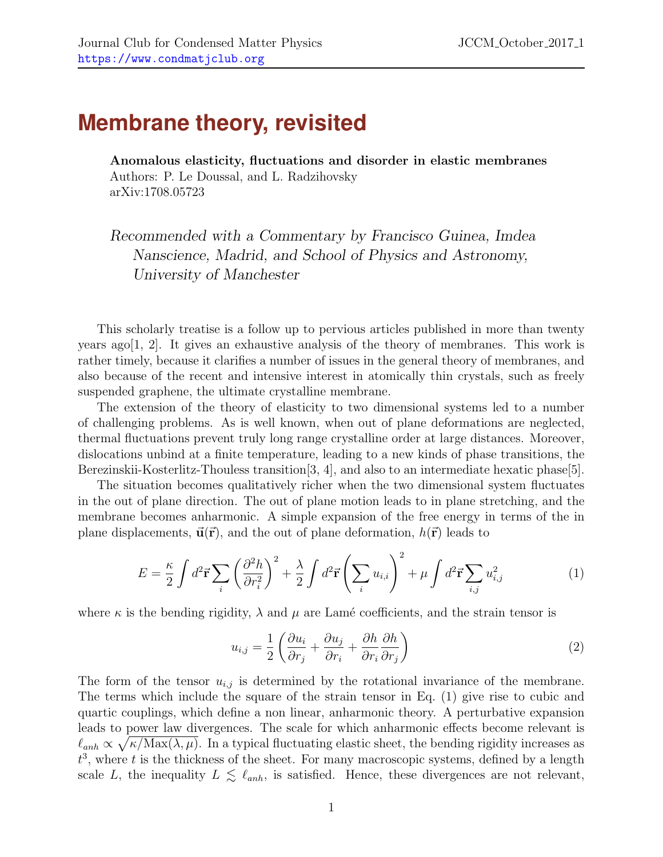## **Membrane theory, revisited**

Anomalous elasticity, fluctuations and disorder in elastic membranes Authors: P. Le Doussal, and L. Radzihovsky arXiv:1708.05723

Recommended with a Commentary by Francisco Guinea, Imdea Nanscience, Madrid, and School of Physics and Astronomy, University of Manchester

This scholarly treatise is a follow up to pervious articles published in more than twenty years ago[\[1,](#page-2-0) [2\]](#page-2-1). It gives an exhaustive analysis of the theory of membranes. This work is rather timely, because it clarifies a number of issues in the general theory of membranes, and also because of the recent and intensive interest in atomically thin crystals, such as freely suspended graphene, the ultimate crystalline membrane.

The extension of the theory of elasticity to two dimensional systems led to a number of challenging problems. As is well known, when out of plane deformations are neglected, thermal fluctuations prevent truly long range crystalline order at large distances. Moreover, dislocations unbind at a finite temperature, leading to a new kinds of phase transitions, the Berezinskii-Kosterlitz-Thouless transition[\[3,](#page-2-2) [4\]](#page-2-3), and also to an intermediate hexatic phase[\[5\]](#page-2-4).

The situation becomes qualitatively richer when the two dimensional system fluctuates in the out of plane direction. The out of plane motion leads to in plane stretching, and the membrane becomes anharmonic. A simple expansion of the free energy in terms of the in plane displacements,  $\vec{u}(\vec{r})$ , and the out of plane deformation,  $h(\vec{r})$  leads to

<span id="page-0-0"></span>
$$
E = \frac{\kappa}{2} \int d^2 \vec{\mathbf{r}} \sum_i \left(\frac{\partial^2 h}{\partial r_i^2}\right)^2 + \frac{\lambda}{2} \int d^2 \vec{\mathbf{r}} \left(\sum_i u_{i,i}\right)^2 + \mu \int d^2 \vec{\mathbf{r}} \sum_{i,j} u_{i,j}^2 \tag{1}
$$

where  $\kappa$  is the bending rigidity,  $\lambda$  and  $\mu$  are Lamé coefficients, and the strain tensor is

$$
u_{i,j} = \frac{1}{2} \left( \frac{\partial u_i}{\partial r_j} + \frac{\partial u_j}{\partial r_i} + \frac{\partial h}{\partial r_i} \frac{\partial h}{\partial r_j} \right)
$$
(2)

The form of the tensor  $u_{i,j}$  is determined by the rotational invariance of the membrane. The terms which include the square of the strain tensor in Eq. [\(1\)](#page-0-0) give rise to cubic and quartic couplings, which define a non linear, anharmonic theory. A perturbative expansion leads to power law divergences. The scale for which anharmonic effects become relevant is  $\ell_{anh} \propto \sqrt{\kappa / \text{Max}(\lambda, \mu)}$ . In a typical fluctuating elastic sheet, the bending rigidity increases as  $t^3$ , where t is the thickness of the sheet. For many macroscopic systems, defined by a length scale L, the inequality  $L \leq \ell_{anh}$ , is satisfied. Hence, these divergences are not relevant,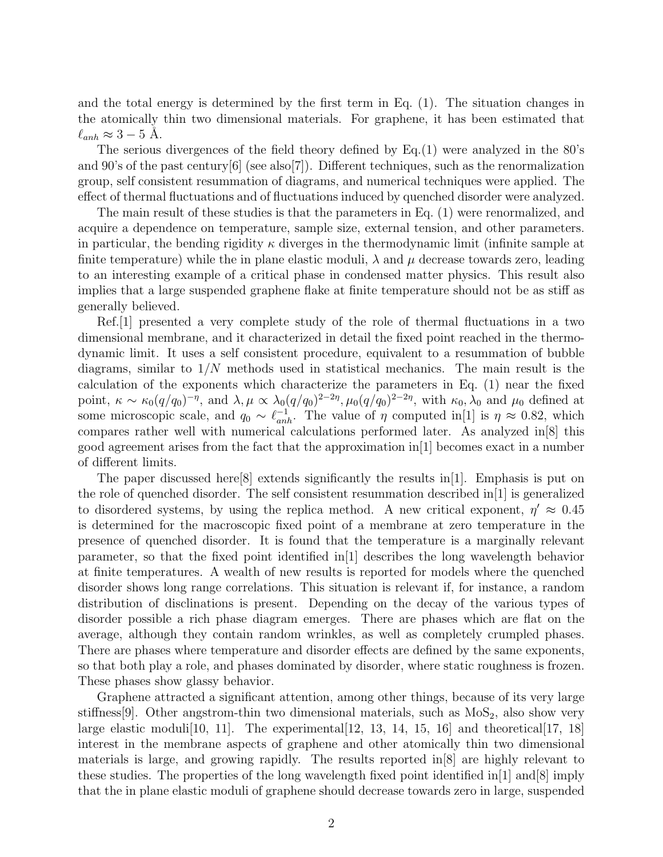and the total energy is determined by the first term in Eq. [\(1\)](#page-0-0). The situation changes in the atomically thin two dimensional materials. For graphene, it has been estimated that  $\ell_{anh} \approx 3 - 5$  Å.

The serious divergences of the field theory defined by Eq.[\(1\)](#page-0-0) were analyzed in the 80's and 90's of the past century[\[6\]](#page-2-5) (see also[\[7\]](#page-2-6)). Different techniques, such as the renormalization group, self consistent resummation of diagrams, and numerical techniques were applied. The effect of thermal fluctuations and of fluctuations induced by quenched disorder were analyzed.

The main result of these studies is that the parameters in Eq. [\(1\)](#page-0-0) were renormalized, and acquire a dependence on temperature, sample size, external tension, and other parameters. in particular, the bending rigidity  $\kappa$  diverges in the thermodynamic limit (infinite sample at finite temperature) while the in plane elastic moduli,  $\lambda$  and  $\mu$  decrease towards zero, leading to an interesting example of a critical phase in condensed matter physics. This result also implies that a large suspended graphene flake at finite temperature should not be as stiff as generally believed.

Ref.[\[1\]](#page-2-0) presented a very complete study of the role of thermal fluctuations in a two dimensional membrane, and it characterized in detail the fixed point reached in the thermodynamic limit. It uses a self consistent procedure, equivalent to a resummation of bubble diagrams, similar to  $1/N$  methods used in statistical mechanics. The main result is the calculation of the exponents which characterize the parameters in Eq. [\(1\)](#page-0-0) near the fixed point,  $\kappa \sim \kappa_0 (q/q_0)^{-\eta}$ , and  $\lambda, \mu \propto \lambda_0 (q/q_0)^{2-2\eta}, \mu_0 (q/q_0)^{2-2\eta}$ , with  $\kappa_0, \lambda_0$  and  $\mu_0$  defined at some microscopic scale, and  $q_0 \sim \ell_{anh}^{-1}$ . The value of  $\eta$  computed in[\[1\]](#page-2-0) is  $\eta \approx 0.82$ , which compares rather well with numerical calculations performed later. As analyzed in[\[8\]](#page-2-7) this good agreement arises from the fact that the approximation in[\[1\]](#page-2-0) becomes exact in a number of different limits.

The paper discussed here[\[8\]](#page-2-7) extends significantly the results in[\[1\]](#page-2-0). Emphasis is put on the role of quenched disorder. The self consistent resummation described in[\[1\]](#page-2-0) is generalized to disordered systems, by using the replica method. A new critical exponent,  $\eta' \approx 0.45$ is determined for the macroscopic fixed point of a membrane at zero temperature in the presence of quenched disorder. It is found that the temperature is a marginally relevant parameter, so that the fixed point identified  $\ln(1)$  describes the long wavelength behavior at finite temperatures. A wealth of new results is reported for models where the quenched disorder shows long range correlations. This situation is relevant if, for instance, a random distribution of disclinations is present. Depending on the decay of the various types of disorder possible a rich phase diagram emerges. There are phases which are flat on the average, although they contain random wrinkles, as well as completely crumpled phases. There are phases where temperature and disorder effects are defined by the same exponents, so that both play a role, and phases dominated by disorder, where static roughness is frozen. These phases show glassy behavior.

Graphene attracted a significant attention, among other things, because of its very large stiffness[\[9\]](#page-2-8). Other angstrom-thin two dimensional materials, such as  $M_0S_2$ , also show very large elastic moduli<sup>[\[10,](#page-2-9) [11\]](#page-2-10)</sup>. The experimental  $[12, 13, 14, 15, 16]$  $[12, 13, 14, 15, 16]$  $[12, 13, 14, 15, 16]$  $[12, 13, 14, 15, 16]$  $[12, 13, 14, 15, 16]$  $[12, 13, 14, 15, 16]$  $[12, 13, 14, 15, 16]$  $[12, 13, 14, 15, 16]$  $[12, 13, 14, 15, 16]$  and theoretical  $[17, 18]$  $[17, 18]$  $[17, 18]$ interest in the membrane aspects of graphene and other atomically thin two dimensional materials is large, and growing rapidly. The results reported in[\[8\]](#page-2-7) are highly relevant to these studies. The properties of the long wavelength fixed point identified in[\[1\]](#page-2-0) and[\[8\]](#page-2-7) imply that the in plane elastic moduli of graphene should decrease towards zero in large, suspended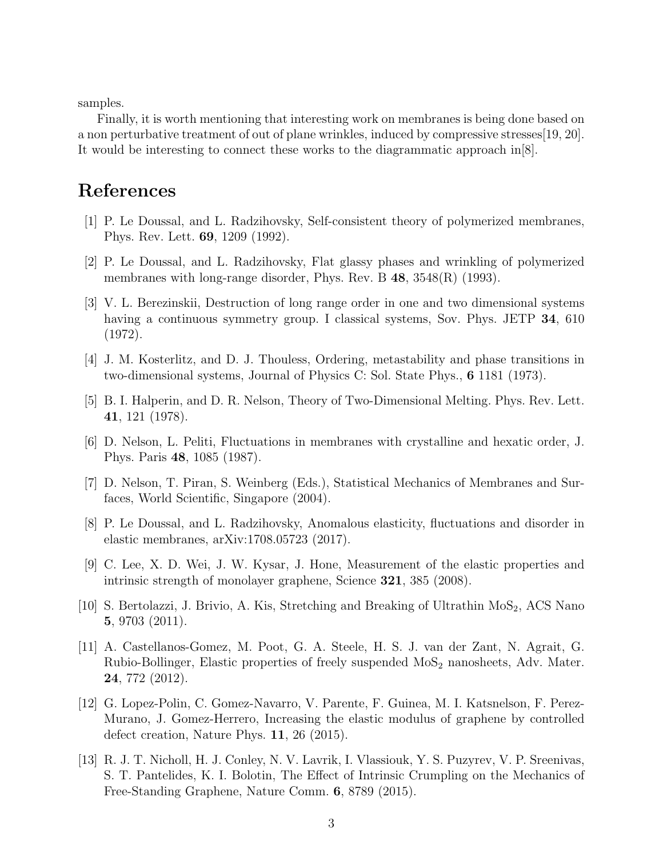samples.

Finally, it is worth mentioning that interesting work on membranes is being done based on a non perturbative treatment of out of plane wrinkles, induced by compressive stresses[\[19,](#page-3-5) [20\]](#page-3-6). It would be interesting to connect these works to the diagrammatic approach in[\[8\]](#page-2-7).

## References

- <span id="page-2-0"></span>[1] P. Le Doussal, and L. Radzihovsky, Self-consistent theory of polymerized membranes, Phys. Rev. Lett. 69, 1209 (1992).
- <span id="page-2-1"></span>[2] P. Le Doussal, and L. Radzihovsky, Flat glassy phases and wrinkling of polymerized membranes with long-range disorder, Phys. Rev. B  $48$ ,  $3548(R)$  (1993).
- <span id="page-2-2"></span>[3] V. L. Berezinskii, Destruction of long range order in one and two dimensional systems having a continuous symmetry group. I classical systems, Sov. Phys. JETP 34, 610 (1972).
- <span id="page-2-3"></span>[4] J. M. Kosterlitz, and D. J. Thouless, Ordering, metastability and phase transitions in two-dimensional systems, Journal of Physics C: Sol. State Phys., 6 1181 (1973).
- <span id="page-2-4"></span>[5] B. I. Halperin, and D. R. Nelson, Theory of Two-Dimensional Melting. Phys. Rev. Lett. 41, 121 (1978).
- <span id="page-2-5"></span>[6] D. Nelson, L. Peliti, Fluctuations in membranes with crystalline and hexatic order, J. Phys. Paris 48, 1085 (1987).
- <span id="page-2-6"></span>[7] D. Nelson, T. Piran, S. Weinberg (Eds.), Statistical Mechanics of Membranes and Surfaces, World Scientific, Singapore (2004).
- <span id="page-2-7"></span>[8] P. Le Doussal, and L. Radzihovsky, Anomalous elasticity, fluctuations and disorder in elastic membranes, arXiv:1708.05723 (2017).
- <span id="page-2-8"></span>[9] C. Lee, X. D. Wei, J. W. Kysar, J. Hone, Measurement of the elastic properties and intrinsic strength of monolayer graphene, Science 321, 385 (2008).
- <span id="page-2-9"></span>[10] S. Bertolazzi, J. Brivio, A. Kis, Stretching and Breaking of Ultrathin  $M_0S_2$ , ACS Nano 5, 9703 (2011).
- <span id="page-2-10"></span>[11] A. Castellanos-Gomez, M. Poot, G. A. Steele, H. S. J. van der Zant, N. Agrait, G. Rubio-Bollinger, Elastic properties of freely suspended MoS<sub>2</sub> nanosheets, Adv. Mater. 24, 772 (2012).
- <span id="page-2-11"></span>[12] G. Lopez-Polin, C. Gomez-Navarro, V. Parente, F. Guinea, M. I. Katsnelson, F. Perez-Murano, J. Gomez-Herrero, Increasing the elastic modulus of graphene by controlled defect creation, Nature Phys. 11, 26 (2015).
- <span id="page-2-12"></span>[13] R. J. T. Nicholl, H. J. Conley, N. V. Lavrik, I. Vlassiouk, Y. S. Puzyrev, V. P. Sreenivas, S. T. Pantelides, K. I. Bolotin, The Effect of Intrinsic Crumpling on the Mechanics of Free-Standing Graphene, Nature Comm. 6, 8789 (2015).